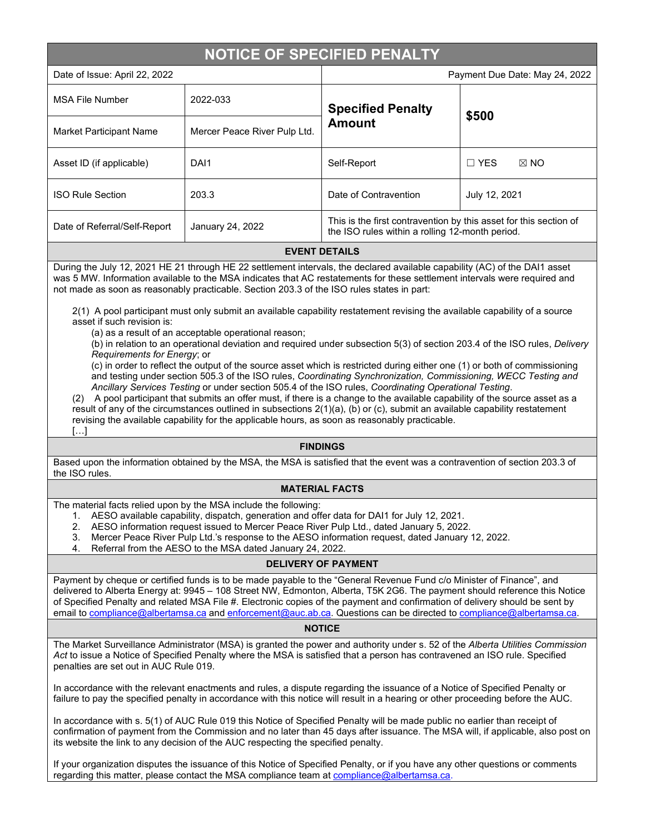# **NOTICE OF SPECIFIED PENALTY**

| Date of Issue: April 22, 2022  |                              | Payment Due Date: May 24, 2022                                                                                       |                              |
|--------------------------------|------------------------------|----------------------------------------------------------------------------------------------------------------------|------------------------------|
| <b>MSA File Number</b>         | 2022-033                     | <b>Specified Penalty</b><br><b>Amount</b>                                                                            | \$500                        |
| <b>Market Participant Name</b> | Mercer Peace River Pulp Ltd. |                                                                                                                      |                              |
| Asset ID (if applicable)       | DAI1                         | Self-Report                                                                                                          | $\Box$ YES<br>$\boxtimes$ NO |
| <b>ISO Rule Section</b>        | 203.3                        | Date of Contravention                                                                                                | July 12, 2021                |
| Date of Referral/Self-Report   | January 24, 2022             | This is the first contravention by this asset for this section of<br>the ISO rules within a rolling 12-month period. |                              |

### **EVENT DETAILS**

During the July 12, 2021 HE 21 through HE 22 settlement intervals, the declared available capability (AC) of the DAI1 asset was 5 MW. Information available to the MSA indicates that AC restatements for these settlement intervals were required and not made as soon as reasonably practicable. Section 203.3 of the ISO rules states in part:

2(1) A pool participant must only submit an available capability restatement revising the available capability of a source asset if such revision is:

(a) as a result of an acceptable operational reason;

(b) in relation to an operational deviation and required under subsection 5(3) of section 203.4 of the ISO rules, *Delivery Requirements for Energy*; or

(c) in order to reflect the output of the source asset which is restricted during either one (1) or both of commissioning and testing under section 505.3 of the ISO rules, *Coordinating Synchronization, Commissioning, WECC Testing and Ancillary Services Testing* or under section 505.4 of the ISO rules, *Coordinating Operational Testing*.

(2) A pool participant that submits an offer must, if there is a change to the available capability of the source asset as a result of any of the circumstances outlined in subsections 2(1)(a), (b) or (c), submit an available capability restatement revising the available capability for the applicable hours, as soon as reasonably practicable.  $\lceil$ ...

#### **FINDINGS**

Based upon the information obtained by the MSA, the MSA is satisfied that the event was a contravention of section 203.3 of the ISO rules.

## **MATERIAL FACTS**

The material facts relied upon by the MSA include the following:

- 1. AESO available capability, dispatch, generation and offer data for DAI1 for July 12, 2021.
- 2. AESO information request issued to Mercer Peace River Pulp Ltd., dated January 5, 2022.
- 3. Mercer Peace River Pulp Ltd.'s response to the AESO information request, dated January 12, 2022.
- 4. Referral from the AESO to the MSA dated January 24, 2022.

## **DELIVERY OF PAYMENT**

Payment by cheque or certified funds is to be made payable to the "General Revenue Fund c/o Minister of Finance", and delivered to Alberta Energy at: 9945 – 108 Street NW, Edmonton, Alberta, T5K 2G6. The payment should reference this Notice of Specified Penalty and related MSA File #. Electronic copies of the payment and confirmation of delivery should be sent by email to [compliance@albertamsa.ca](mailto:compliance@albertamsa.ca) and [enforcement@auc.ab.ca.](mailto:enforcement@auc.ab.ca) Questions can be directed to [compliance@albertamsa.ca.](mailto:compliance@albertamsa.ca)

#### **NOTICE**

The Market Surveillance Administrator (MSA) is granted the power and authority under s. 52 of the *Alberta Utilities Commission Act* to issue a Notice of Specified Penalty where the MSA is satisfied that a person has contravened an ISO rule. Specified penalties are set out in AUC Rule 019.

In accordance with the relevant enactments and rules, a dispute regarding the issuance of a Notice of Specified Penalty or failure to pay the specified penalty in accordance with this notice will result in a hearing or other proceeding before the AUC.

In accordance with s. 5(1) of AUC Rule 019 this Notice of Specified Penalty will be made public no earlier than receipt of confirmation of payment from the Commission and no later than 45 days after issuance. The MSA will, if applicable, also post on its website the link to any decision of the AUC respecting the specified penalty.

If your organization disputes the issuance of this Notice of Specified Penalty, or if you have any other questions or comments regarding this matter, please contact the MSA compliance team a[t compliance@albertamsa.ca.](mailto:compliance@albertamsa.ca)